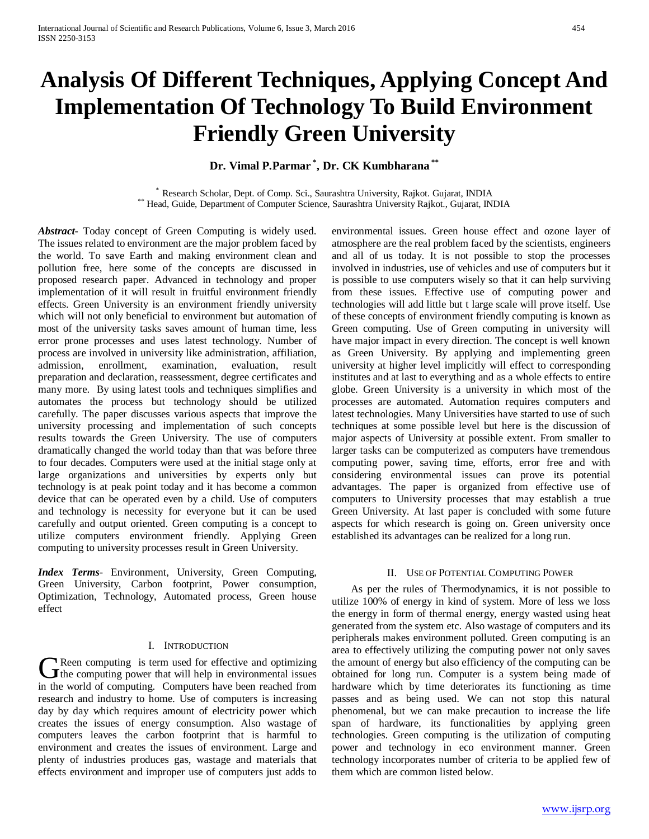# **Analysis Of Different Techniques, Applying Concept And Implementation Of Technology To Build Environment Friendly Green University**

# **Dr. Vimal P.Parmar \* , Dr. CK Kumbharana \*\***

\* Research Scholar, Dept. of Comp. Sci., Saurashtra University, Rajkot. Gujarat, INDIA \*\* Head, Guide, Department of Computer Science, Saurashtra University Rajkot., Gujarat, INDIA

*Abstract***-** Today concept of Green Computing is widely used. The issues related to environment are the major problem faced by the world. To save Earth and making environment clean and pollution free, here some of the concepts are discussed in proposed research paper. Advanced in technology and proper implementation of it will result in fruitful environment friendly effects. Green University is an environment friendly university which will not only beneficial to environment but automation of most of the university tasks saves amount of human time, less error prone processes and uses latest technology. Number of process are involved in university like administration, affiliation, admission, enrollment, examination, evaluation, result preparation and declaration, reassessment, degree certificates and many more. By using latest tools and techniques simplifies and automates the process but technology should be utilized carefully. The paper discusses various aspects that improve the university processing and implementation of such concepts results towards the Green University. The use of computers dramatically changed the world today than that was before three to four decades. Computers were used at the initial stage only at large organizations and universities by experts only but technology is at peak point today and it has become a common device that can be operated even by a child. Use of computers and technology is necessity for everyone but it can be used carefully and output oriented. Green computing is a concept to utilize computers environment friendly. Applying Green computing to university processes result in Green University.

*Index Terms*- Environment, University, Green Computing, Green University, Carbon footprint, Power consumption, Optimization, Technology, Automated process, Green house effect

#### I. INTRODUCTION

Reen computing is term used for effective and optimizing G Reen computing is term used for effective and optimizing<br>the computing power that will help in environmental issues in the world of computing. Computers have been reached from research and industry to home. Use of computers is increasing day by day which requires amount of electricity power which creates the issues of energy consumption. Also wastage of computers leaves the carbon footprint that is harmful to environment and creates the issues of environment. Large and plenty of industries produces gas, wastage and materials that effects environment and improper use of computers just adds to environmental issues. Green house effect and ozone layer of atmosphere are the real problem faced by the scientists, engineers and all of us today. It is not possible to stop the processes involved in industries, use of vehicles and use of computers but it is possible to use computers wisely so that it can help surviving from these issues. Effective use of computing power and technologies will add little but t large scale will prove itself. Use of these concepts of environment friendly computing is known as Green computing. Use of Green computing in university will have major impact in every direction. The concept is well known as Green University. By applying and implementing green university at higher level implicitly will effect to corresponding institutes and at last to everything and as a whole effects to entire globe. Green University is a university in which most of the processes are automated. Automation requires computers and latest technologies. Many Universities have started to use of such techniques at some possible level but here is the discussion of major aspects of University at possible extent. From smaller to larger tasks can be computerized as computers have tremendous computing power, saving time, efforts, error free and with considering environmental issues can prove its potential advantages. The paper is organized from effective use of computers to University processes that may establish a true Green University. At last paper is concluded with some future aspects for which research is going on. Green university once established its advantages can be realized for a long run.

#### II. USE OF POTENTIAL COMPUTING POWER

As per the rules of Thermodynamics, it is not possible to utilize 100% of energy in kind of system. More of less we loss the energy in form of thermal energy, energy wasted using heat generated from the system etc. Also wastage of computers and its peripherals makes environment polluted. Green computing is an area to effectively utilizing the computing power not only saves the amount of energy but also efficiency of the computing can be obtained for long run. Computer is a system being made of hardware which by time deteriorates its functioning as time passes and as being used. We can not stop this natural phenomenal, but we can make precaution to increase the life span of hardware, its functionalities by applying green technologies. Green computing is the utilization of computing power and technology in eco environment manner. Green technology incorporates number of criteria to be applied few of them which are common listed below.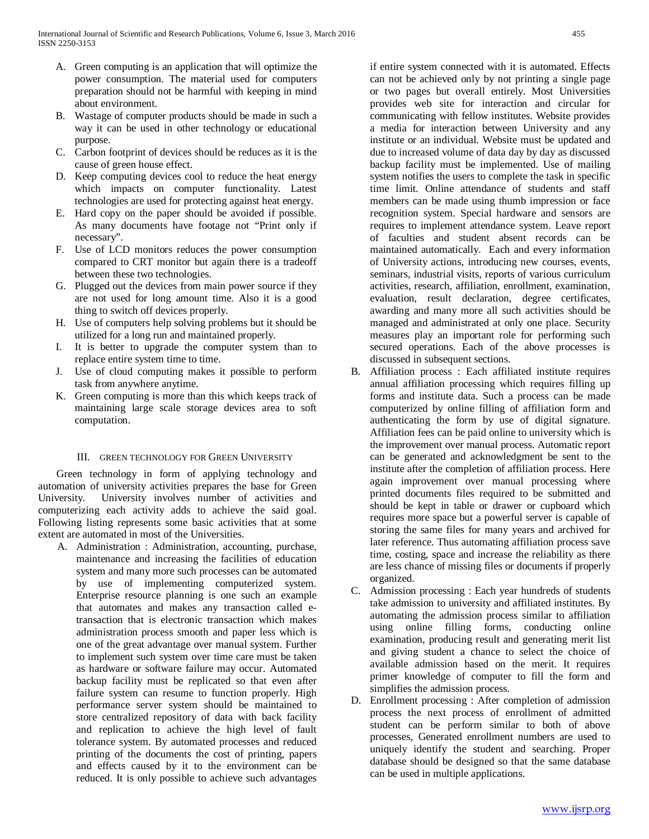- A. Green computing is an application that will optimize the power consumption. The material used for computers preparation should not be harmful with keeping in mind about environment.
- B. Wastage of computer products should be made in such a way it can be used in other technology or educational purpose.
- C. Carbon footprint of devices should be reduces as it is the cause of green house effect.
- D. Keep computing devices cool to reduce the heat energy which impacts on computer functionality. Latest technologies are used for protecting against heat energy.
- E. Hard copy on the paper should be avoided if possible. As many documents have footage not "Print only if necessary".
- F. Use of LCD monitors reduces the power consumption compared to CRT monitor but again there is a tradeoff between these two technologies.
- G. Plugged out the devices from main power source if they are not used for long amount time. Also it is a good thing to switch off devices properly.
- H. Use of computers help solving problems but it should be utilized for a long run and maintained properly.
- I. It is better to upgrade the computer system than to replace entire system time to time.
- J. Use of cloud computing makes it possible to perform task from anywhere anytime.
- K. Green computing is more than this which keeps track of maintaining large scale storage devices area to soft computation.

### III. GREEN TECHNOLOGY FOR GREEN UNIVERSITY

 Green technology in form of applying technology and automation of university activities prepares the base for Green University. University involves number of activities and computerizing each activity adds to achieve the said goal. Following listing represents some basic activities that at some extent are automated in most of the Universities.

A. Administration : Administration, accounting, purchase, maintenance and increasing the facilities of education system and many more such processes can be automated by use of implementing computerized system. Enterprise resource planning is one such an example that automates and makes any transaction called etransaction that is electronic transaction which makes administration process smooth and paper less which is one of the great advantage over manual system. Further to implement such system over time care must be taken as hardware or software failure may occur. Automated backup facility must be replicated so that even after failure system can resume to function properly. High performance server system should be maintained to store centralized repository of data with back facility and replication to achieve the high level of fault tolerance system. By automated processes and reduced printing of the documents the cost of printing, papers and effects caused by it to the environment can be reduced. It is only possible to achieve such advantages

if entire system connected with it is automated. Effects can not be achieved only by not printing a single page or two pages but overall entirely. Most Universities provides web site for interaction and circular for communicating with fellow institutes. Website provides a media for interaction between University and any institute or an individual. Website must be updated and due to increased volume of data day by day as discussed backup facility must be implemented. Use of mailing system notifies the users to complete the task in specific time limit. Online attendance of students and staff members can be made using thumb impression or face recognition system. Special hardware and sensors are requires to implement attendance system. Leave report of faculties and student absent records can be maintained automatically. Each and every information of University actions, introducing new courses, events, seminars, industrial visits, reports of various curriculum activities, research, affiliation, enrollment, examination, evaluation, result declaration, degree certificates, awarding and many more all such activities should be managed and administrated at only one place. Security measures play an important role for performing such secured operations. Each of the above processes is discussed in subsequent sections.

- B. Affiliation process : Each affiliated institute requires annual affiliation processing which requires filling up forms and institute data. Such a process can be made computerized by online filling of affiliation form and authenticating the form by use of digital signature. Affiliation fees can be paid online to university which is the improvement over manual process. Automatic report can be generated and acknowledgment be sent to the institute after the completion of affiliation process. Here again improvement over manual processing where printed documents files required to be submitted and should be kept in table or drawer or cupboard which requires more space but a powerful server is capable of storing the same files for many years and archived for later reference. Thus automating affiliation process save time, costing, space and increase the reliability as there are less chance of missing files or documents if properly organized.
- C. Admission processing : Each year hundreds of students take admission to university and affiliated institutes. By automating the admission process similar to affiliation using online filling forms, conducting online examination, producing result and generating merit list and giving student a chance to select the choice of available admission based on the merit. It requires primer knowledge of computer to fill the form and simplifies the admission process.
- D. Enrollment processing : After completion of admission process the next process of enrollment of admitted student can be perform similar to both of above processes, Generated enrollment numbers are used to uniquely identify the student and searching. Proper database should be designed so that the same database can be used in multiple applications.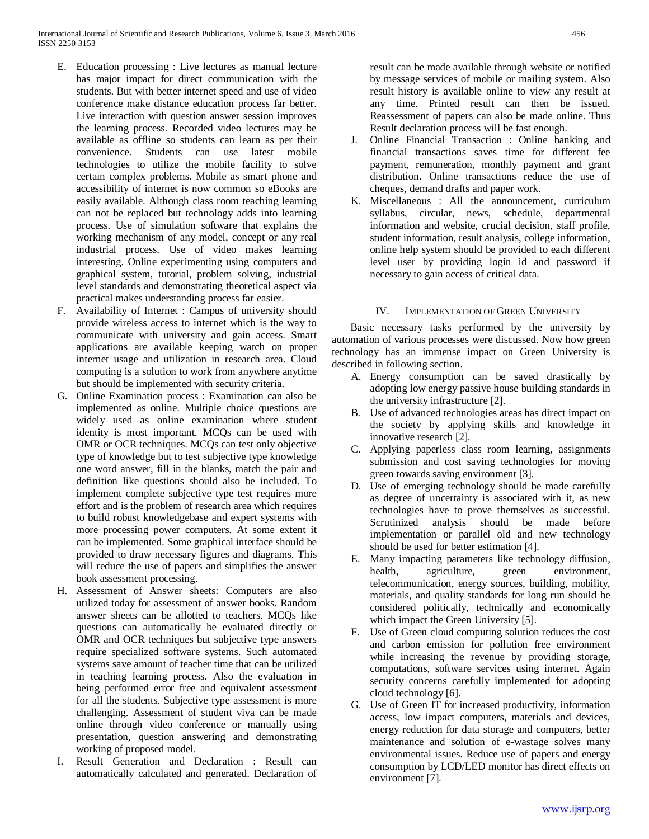- E. Education processing : Live lectures as manual lecture has major impact for direct communication with the students. But with better internet speed and use of video conference make distance education process far better. Live interaction with question answer session improves the learning process. Recorded video lectures may be available as offline so students can learn as per their convenience. Students can use latest mobile technologies to utilize the mobile facility to solve certain complex problems. Mobile as smart phone and accessibility of internet is now common so eBooks are easily available. Although class room teaching learning can not be replaced but technology adds into learning process. Use of simulation software that explains the working mechanism of any model, concept or any real industrial process. Use of video makes learning interesting. Online experimenting using computers and graphical system, tutorial, problem solving, industrial level standards and demonstrating theoretical aspect via practical makes understanding process far easier.
- F. Availability of Internet : Campus of university should provide wireless access to internet which is the way to communicate with university and gain access. Smart applications are available keeping watch on proper internet usage and utilization in research area. Cloud computing is a solution to work from anywhere anytime but should be implemented with security criteria.
- G. Online Examination process : Examination can also be implemented as online. Multiple choice questions are widely used as online examination where student identity is most important. MCQs can be used with OMR or OCR techniques. MCQs can test only objective type of knowledge but to test subjective type knowledge one word answer, fill in the blanks, match the pair and definition like questions should also be included. To implement complete subjective type test requires more effort and is the problem of research area which requires to build robust knowledgebase and expert systems with more processing power computers. At some extent it can be implemented. Some graphical interface should be provided to draw necessary figures and diagrams. This will reduce the use of papers and simplifies the answer book assessment processing.
- H. Assessment of Answer sheets: Computers are also utilized today for assessment of answer books. Random answer sheets can be allotted to teachers. MCQs like questions can automatically be evaluated directly or OMR and OCR techniques but subjective type answers require specialized software systems. Such automated systems save amount of teacher time that can be utilized in teaching learning process. Also the evaluation in being performed error free and equivalent assessment for all the students. Subjective type assessment is more challenging. Assessment of student viva can be made online through video conference or manually using presentation, question answering and demonstrating working of proposed model.
- I. Result Generation and Declaration : Result can automatically calculated and generated. Declaration of

result can be made available through website or notified by message services of mobile or mailing system. Also result history is available online to view any result at any time. Printed result can then be issued. Reassessment of papers can also be made online. Thus Result declaration process will be fast enough.

- J. Online Financial Transaction : Online banking and financial transactions saves time for different fee payment, remuneration, monthly payment and grant distribution. Online transactions reduce the use of cheques, demand drafts and paper work.
- K. Miscellaneous : All the announcement, curriculum syllabus, circular, news, schedule, departmental information and website, crucial decision, staff profile, student information, result analysis, college information, online help system should be provided to each different level user by providing login id and password if necessary to gain access of critical data.

## IV. IMPLEMENTATION OF GREEN UNIVERSITY

 Basic necessary tasks performed by the university by automation of various processes were discussed. Now how green technology has an immense impact on Green University is described in following section.

- A. Energy consumption can be saved drastically by adopting low energy passive house building standards in the university infrastructure [2].
- B. Use of advanced technologies areas has direct impact on the society by applying skills and knowledge in innovative research [2].
- C. Applying paperless class room learning, assignments submission and cost saving technologies for moving green towards saving environment [3].
- D. Use of emerging technology should be made carefully as degree of uncertainty is associated with it, as new technologies have to prove themselves as successful. Scrutinized analysis should be made before implementation or parallel old and new technology should be used for better estimation [4].
- E. Many impacting parameters like technology diffusion, health, agriculture, green environment, telecommunication, energy sources, building, mobility, materials, and quality standards for long run should be considered politically, technically and economically which impact the Green University [5].
- F. Use of Green cloud computing solution reduces the cost and carbon emission for pollution free environment while increasing the revenue by providing storage, computations, software services using internet. Again security concerns carefully implemented for adopting cloud technology [6].
- G. Use of Green IT for increased productivity, information access, low impact computers, materials and devices, energy reduction for data storage and computers, better maintenance and solution of e-wastage solves many environmental issues. Reduce use of papers and energy consumption by LCD/LED monitor has direct effects on environment [7].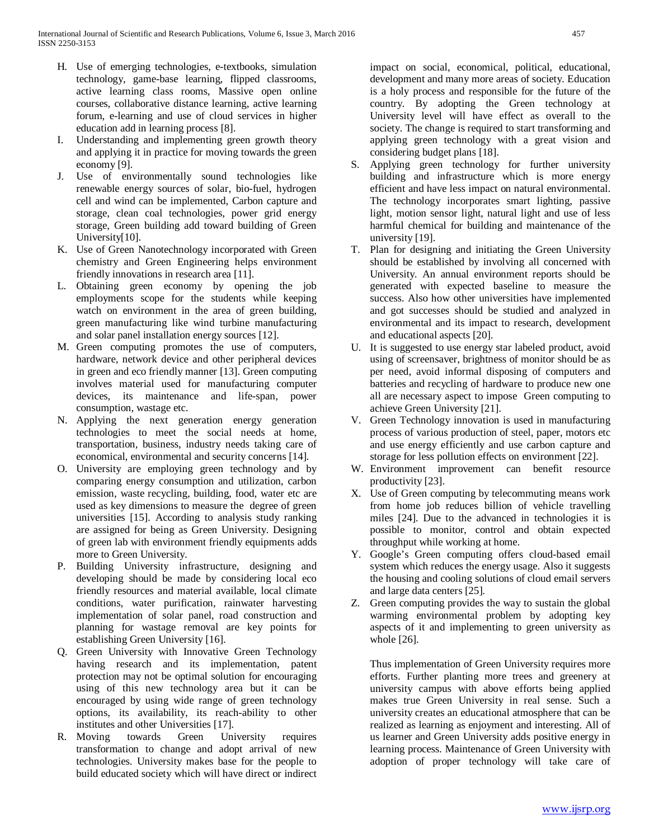- H. Use of emerging technologies, e-textbooks, simulation technology, game-base learning, flipped classrooms, active learning class rooms, Massive open online courses, collaborative distance learning, active learning forum, e-learning and use of cloud services in higher education add in learning process [8].
- Understanding and implementing green growth theory and applying it in practice for moving towards the green economy [9].
- J. Use of environmentally sound technologies like renewable energy sources of solar, bio-fuel, hydrogen cell and wind can be implemented, Carbon capture and storage, clean coal technologies, power grid energy storage, Green building add toward building of Green University[10].
- K. Use of Green Nanotechnology incorporated with Green chemistry and Green Engineering helps environment friendly innovations in research area [11].
- L. Obtaining green economy by opening the job employments scope for the students while keeping watch on environment in the area of green building, green manufacturing like wind turbine manufacturing and solar panel installation energy sources [12].
- M. Green computing promotes the use of computers, hardware, network device and other peripheral devices in green and eco friendly manner [13]. Green computing involves material used for manufacturing computer devices, its maintenance and life-span, power consumption, wastage etc.
- N. Applying the next generation energy generation technologies to meet the social needs at home, transportation, business, industry needs taking care of economical, environmental and security concerns [14].
- O. University are employing green technology and by comparing energy consumption and utilization, carbon emission, waste recycling, building, food, water etc are used as key dimensions to measure the degree of green universities [15]. According to analysis study ranking are assigned for being as Green University. Designing of green lab with environment friendly equipments adds more to Green University.
- P. Building University infrastructure, designing and developing should be made by considering local eco friendly resources and material available, local climate conditions, water purification, rainwater harvesting implementation of solar panel, road construction and planning for wastage removal are key points for establishing Green University [16].
- Q. Green University with Innovative Green Technology having research and its implementation, patent protection may not be optimal solution for encouraging using of this new technology area but it can be encouraged by using wide range of green technology options, its availability, its reach-ability to other institutes and other Universities [17].
- R. Moving towards Green University requires transformation to change and adopt arrival of new technologies. University makes base for the people to build educated society which will have direct or indirect

impact on social, economical, political, educational, development and many more areas of society. Education is a holy process and responsible for the future of the country. By adopting the Green technology at University level will have effect as overall to the society. The change is required to start transforming and applying green technology with a great vision and considering budget plans [18].

- S. Applying green technology for further university building and infrastructure which is more energy efficient and have less impact on natural environmental. The technology incorporates smart lighting, passive light, motion sensor light, natural light and use of less harmful chemical for building and maintenance of the university [19].
- T. Plan for designing and initiating the Green University should be established by involving all concerned with University. An annual environment reports should be generated with expected baseline to measure the success. Also how other universities have implemented and got successes should be studied and analyzed in environmental and its impact to research, development and educational aspects [20].
- U. It is suggested to use energy star labeled product, avoid using of screensaver, brightness of monitor should be as per need, avoid informal disposing of computers and batteries and recycling of hardware to produce new one all are necessary aspect to impose Green computing to achieve Green University [21].
- V. Green Technology innovation is used in manufacturing process of various production of steel, paper, motors etc and use energy efficiently and use carbon capture and storage for less pollution effects on environment [22].
- W. Environment improvement can benefit resource productivity [23].
- X. Use of Green computing by telecommuting means work from home job reduces billion of vehicle travelling miles [24]. Due to the advanced in technologies it is possible to monitor, control and obtain expected throughput while working at home.
- Y. Google's Green computing offers cloud-based email system which reduces the energy usage. Also it suggests the housing and cooling solutions of cloud email servers and large data centers [25].
- Z. Green computing provides the way to sustain the global warming environmental problem by adopting key aspects of it and implementing to green university as whole [26].

Thus implementation of Green University requires more efforts. Further planting more trees and greenery at university campus with above efforts being applied makes true Green University in real sense. Such a university creates an educational atmosphere that can be realized as learning as enjoyment and interesting. All of us learner and Green University adds positive energy in learning process. Maintenance of Green University with adoption of proper technology will take care of